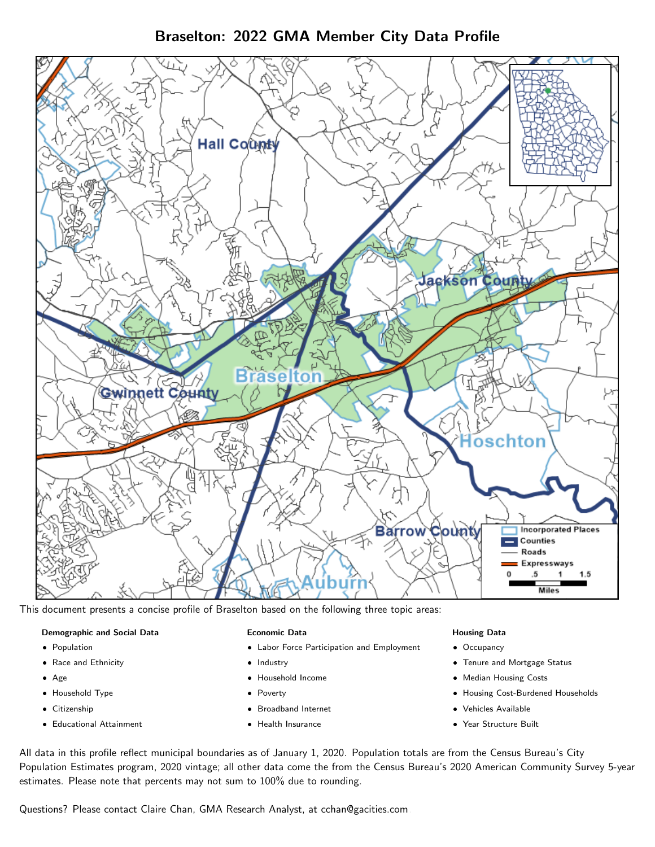Braselton: 2022 GMA Member City Data Profile



This document presents a concise profile of Braselton based on the following three topic areas:

#### Demographic and Social Data

- **•** Population
- Race and Ethnicity
- Age
- Household Type
- **Citizenship**
- Educational Attainment

## Economic Data

- Labor Force Participation and Employment
- Industry
- Household Income
- Poverty
- Broadband Internet
- Health Insurance

#### Housing Data

- Occupancy
- Tenure and Mortgage Status
- Median Housing Costs
- Housing Cost-Burdened Households
- Vehicles Available
- Year Structure Built

All data in this profile reflect municipal boundaries as of January 1, 2020. Population totals are from the Census Bureau's City Population Estimates program, 2020 vintage; all other data come the from the Census Bureau's 2020 American Community Survey 5-year estimates. Please note that percents may not sum to 100% due to rounding.

Questions? Please contact Claire Chan, GMA Research Analyst, at [cchan@gacities.com.](mailto:cchan@gacities.com)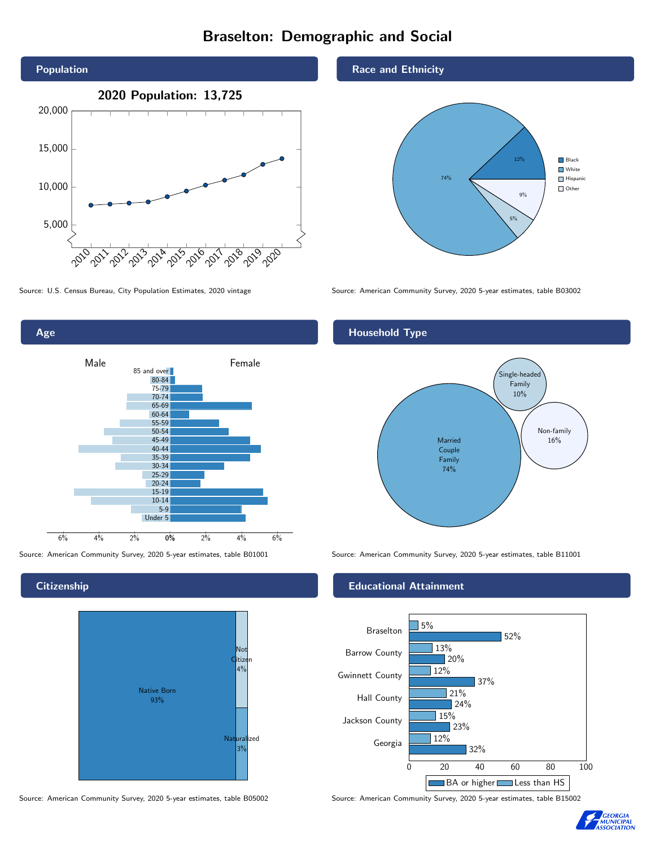# Braselton: Demographic and Social



0% 2% 4% 6% Male **Female** 6% 4% 2% 85 and over 80-84 75-79 70-74 65-69 60-64 55-59 50-54 45-49 40-44 35-39 30-34 25-29 20-24 15-19 10-14 5-9 Under 5

# **Citizenship**

Age



Source: American Community Survey, 2020 5-year estimates, table B05002 Source: American Community Survey, 2020 5-year estimates, table B15002

### Race and Ethnicity



Source: U.S. Census Bureau, City Population Estimates, 2020 vintage Source: American Community Survey, 2020 5-year estimates, table B03002

# Household Type



Source: American Community Survey, 2020 5-year estimates, table B01001 Source: American Community Survey, 2020 5-year estimates, table B11001

## Educational Attainment



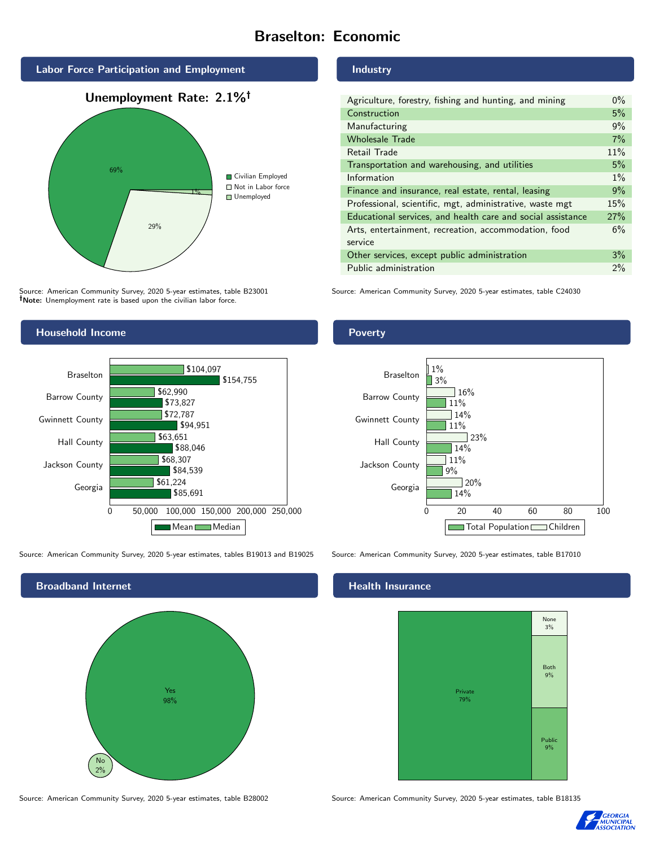# Braselton: Economic



Source: American Community Survey, 2020 5-year estimates, table B23001 Note: Unemployment rate is based upon the civilian labor force.

# Household Income



Source: American Community Survey, 2020 5-year estimates, tables B19013 and B19025 Source: American Community Survey, 2020 5-year estimates, table B17010



#### Industry

| Agriculture, forestry, fishing and hunting, and mining      | $0\%$ |
|-------------------------------------------------------------|-------|
| Construction                                                | 5%    |
| Manufacturing                                               | 9%    |
| <b>Wholesale Trade</b>                                      | 7%    |
| Retail Trade                                                | 11%   |
| Transportation and warehousing, and utilities               | 5%    |
| Information                                                 | $1\%$ |
| Finance and insurance, real estate, rental, leasing         | 9%    |
| Professional, scientific, mgt, administrative, waste mgt    | 15%   |
| Educational services, and health care and social assistance | 27%   |
| Arts, entertainment, recreation, accommodation, food        | 6%    |
| service                                                     |       |
| Other services, except public administration                | 3%    |
| Public administration                                       | 2%    |

Source: American Community Survey, 2020 5-year estimates, table C24030

## Poverty



#### Health Insurance



Source: American Community Survey, 2020 5-year estimates, table B28002 Source: American Community Survey, 2020 5-year estimates, table B18135